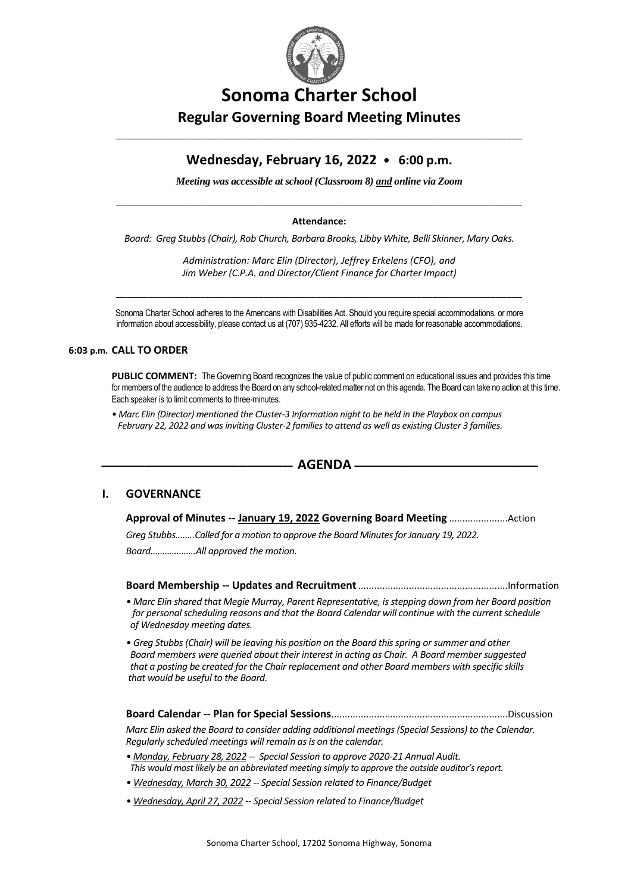

# **Sonoma Charter School Regular Governing Board Meeting Minutes**

# **Wednesday, February 16, 2022 • 6:00 p.m.**

\_\_\_\_\_\_\_\_\_\_\_\_\_\_\_\_\_\_\_\_\_\_\_\_\_\_\_\_\_\_\_\_\_\_\_\_\_\_\_\_\_\_\_\_\_\_\_\_\_\_\_\_\_\_\_\_\_\_\_\_\_\_\_\_\_\_\_\_\_\_\_\_\_\_\_\_\_

*Meeting was accessible at school (Classroom 8) and online via Zoom*

# \_\_\_\_\_\_\_\_\_\_\_\_\_\_\_\_\_\_\_\_\_\_\_\_\_\_\_\_\_\_\_\_\_\_\_\_\_\_\_\_\_\_\_\_\_\_\_\_\_\_\_\_\_\_\_\_\_\_\_\_\_\_\_\_\_\_\_\_\_\_\_\_\_\_\_\_\_ **Attendance:**

*Board: Greg Stubbs (Chair), Rob Church, Barbara Brooks, Libby White, Belli Skinner, Mary Oaks.*

*Administration: Marc Elin (Director), Jeffrey Erkelens (CFO), and Jim Weber (C.P.A. and Director/Client Finance for Charter Impact)*

\_\_\_\_\_\_\_\_\_\_\_\_\_\_\_\_\_\_\_\_\_\_\_\_\_\_\_\_\_\_\_\_\_\_\_\_\_\_\_\_\_\_\_\_\_\_\_\_\_\_\_\_\_\_\_\_\_\_\_\_\_\_\_\_\_\_\_\_\_\_\_\_\_\_\_\_\_

Sonoma Charter School adheres to the Americans with Disabilities Act. Should you require special accommodations, or more information about accessibility, please contact us at (707) 935-4232. All efforts will be made for reasonable accommodations.

#### **6:03 p.m. CALL TO ORDER**

**PUBLIC COMMENT:** The Governing Board recognizes the value of public comment on educational issues and provides this time for members of the audience to address the Board on any school-related matter not on this agenda. The Board can take no action at this time. Each speaker is to limit comments to three-minutes.

*• Marc Elin (Director) mentioned the Cluster-3 Information night to be held in the Playbox on campus February 22, 2022 and was inviting Cluster-2 families to attend as well as existing Cluster 3 families.*



#### **I. GOVERNANCE**

**Approval of Minutes -- January 19, 2022 Governing Board Meeting** ......................Action *Greg Stubbs……..Called for a motion to approve the Board Minutes for January 19, 2022. Board……………….All approved the motion.*

**Board Membership -- Updates and Recruitment**........................................................Information

- *Marc Elin shared that Megie Murray, Parent Representative, is stepping down from her Board position for personal scheduling reasons and that the Board Calendar will continue with the current schedule of Wednesday meeting dates.*
- *Greg Stubbs (Chair) will be leaving his position on the Board this spring or summer and other Board members were queried about their interest in acting as Chair. A Board member suggested that a posting be created for the Chair replacement and other Board members with specific skills that would be useful to the Board.*
- **Board Calendar -- Plan for Special Sessions**..................................................................Discussion *Marc Elin asked the Board to consider adding additional meetings (Special Sessions) to the Calendar. Regularly scheduled meetings will remain as is on the calendar.*
- *Monday, February 28, 2022 -- Special Session to approve 2020-21 Annual Audit. This would most likely be an abbreviated meeting simply to approve the outside auditor's report.*
- *Wednesday, March 30, 2022 -- Special Session related to Finance/Budget*
- *Wednesday, April 27, 2022 -- Special Session related to Finance/Budget*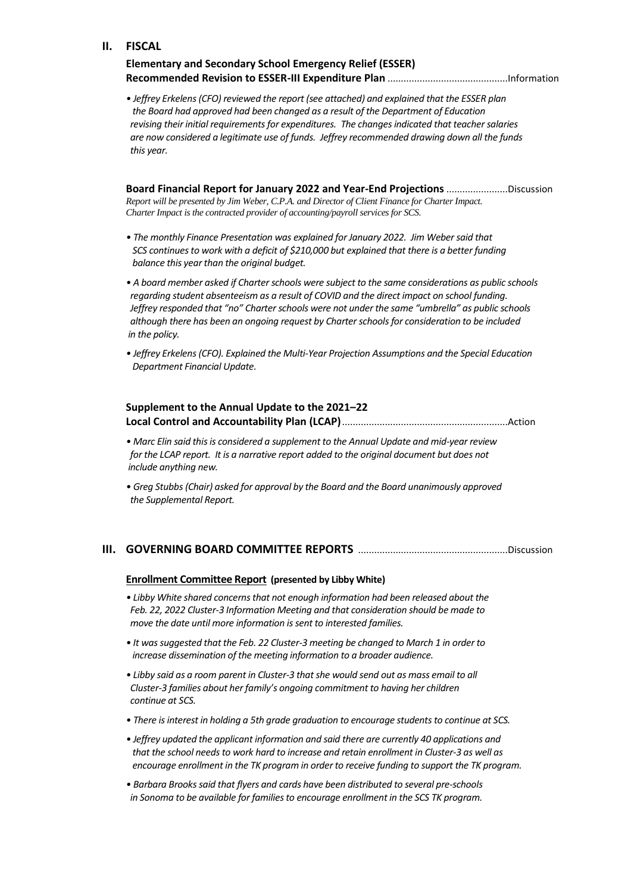#### **II. FISCAL**

| <b>Elementary and Secondary School Emergency Relief (ESSER)</b> |  |
|-----------------------------------------------------------------|--|
|                                                                 |  |

*• Jeffrey Erkelens(CFO) reviewed the report (see attached) and explained that the ESSER plan the Board had approved had been changed as a result of the Department of Education revising their initial requirements for expenditures. The changes indicated that teacher salaries are now considered a legitimate use of funds. Jeffrey recommended drawing down all the funds this year.*

**Board Financial Report for January 2022 and Year-End Projections** .......................Discussion *Report will be presented by Jim Weber, C.P.A. and Director of Client Finance for Charter Impact. Charter Impact is the contracted provider of accounting/payroll services for SCS.*

- *The monthly Finance Presentation was explained for January 2022. Jim Weber said that SCS continues to work with a deficit of \$210,000 but explained that there is a better funding balance this year than the original budget.*
- *A board member asked if Charter schools were subject to the same considerations as public schools regarding student absenteeism as a result of COVID and the direct impact on school funding. Jeffrey responded that "no" Charter schools were not under the same "umbrella" as public schools although there has been an ongoing request by Charter schools for consideration to be included in the policy.*
- *Jeffrey Erkelens (CFO). Explained the Multi-Year Projection Assumptions and the Special Education Department Financial Update.*

### **Supplement to the Annual Update to the 2021–22 Local Control and Accountability Plan (LCAP)**..............................................................Action

- *Marc Elin said this is considered a supplement to the Annual Update and mid-year review for the LCAP report. It is a narrative report added to the original document but does not include anything new.*
- *Greg Stubbs (Chair) asked for approval by the Board and the Board unanimously approved the Supplemental Report.*

## **III. GOVERNING BOARD COMMITTEE REPORTS** ........................................................Discussion

#### **Enrollment Committee Report (presented by Libby White)**

- *Libby White shared concerns that not enough information had been released about the Feb. 22, 2022 Cluster-3 Information Meeting and that consideration should be made to move the date until more information is sent to interested families.*
- *It was suggested that the Feb. 22 Cluster-3 meeting be changed to March 1 in order to increase dissemination of the meeting information to a broader audience.*
- *Libby said as a room parent in Cluster-3 that she would send out as mass email to all Cluster-3 families about her family's ongoing commitment to having her children continue at SCS.*
- *There is interest in holding a 5th grade graduation to encourage students to continue at SCS.*
- *Jeffrey updated the applicant information and said there are currently 40 applications and that the school needs to work hard to increase and retain enrollment in Cluster-3 as well as encourage enrollment in the TK program in order to receive funding to support the TK program.*
- *Barbara Brooks said that flyers and cards have been distributed to several pre-schools in Sonoma to be available for families to encourage enrollment in the SCS TK program.*